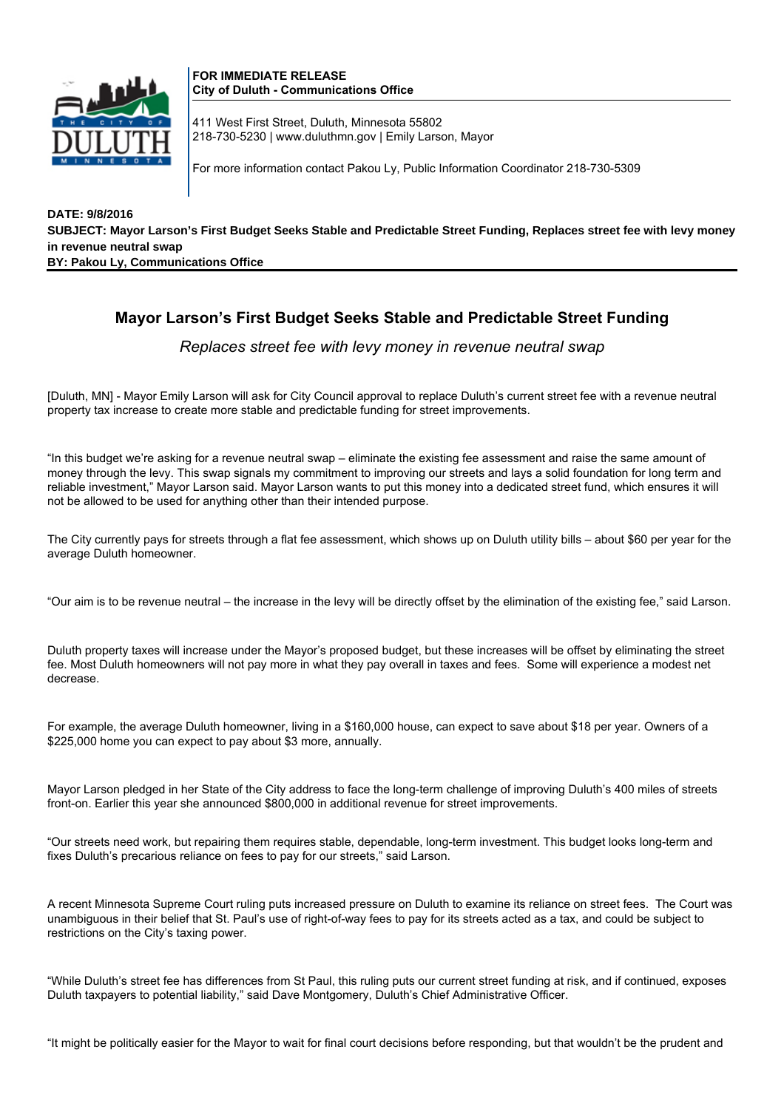

**FOR IMMEDIATE RELEASE City of Duluth - Communications Office**

411 West First Street, Duluth, Minnesota 55802 218-730-5230 | www.duluthmn.gov | Emily Larson, Mayor

For more information contact Pakou Ly, Public Information Coordinator 218-730-5309

**DATE: 9/8/2016 SUBJECT: Mayor Larson's First Budget Seeks Stable and Predictable Street Funding, Replaces street fee with levy money in revenue neutral swap BY: Pakou Ly, Communications Office**

## **Mayor Larson's First Budget Seeks Stable and Predictable Street Funding**

*Replaces street fee with levy money in revenue neutral swap*

[Duluth, MN] - Mayor Emily Larson will ask for City Council approval to replace Duluth's current street fee with a revenue neutral property tax increase to create more stable and predictable funding for street improvements.

"In this budget we're asking for a revenue neutral swap – eliminate the existing fee assessment and raise the same amount of money through the levy. This swap signals my commitment to improving our streets and lays a solid foundation for long term and reliable investment," Mayor Larson said. Mayor Larson wants to put this money into a dedicated street fund, which ensures it will not be allowed to be used for anything other than their intended purpose.

The City currently pays for streets through a flat fee assessment, which shows up on Duluth utility bills – about \$60 per year for the average Duluth homeowner.

"Our aim is to be revenue neutral – the increase in the levy will be directly offset by the elimination of the existing fee," said Larson.

Duluth property taxes will increase under the Mayor's proposed budget, but these increases will be offset by eliminating the street fee. Most Duluth homeowners will not pay more in what they pay overall in taxes and fees. Some will experience a modest net decrease.

For example, the average Duluth homeowner, living in a \$160,000 house, can expect to save about \$18 per year. Owners of a \$225,000 home you can expect to pay about \$3 more, annually.

Mayor Larson pledged in her State of the City address to face the long-term challenge of improving Duluth's 400 miles of streets front-on. Earlier this year she announced \$800,000 in additional revenue for street improvements.

"Our streets need work, but repairing them requires stable, dependable, long-term investment. This budget looks long-term and fixes Duluth's precarious reliance on fees to pay for our streets," said Larson.

A recent Minnesota Supreme Court ruling puts increased pressure on Duluth to examine its reliance on street fees. The Court was unambiguous in their belief that St. Paul's use of right-of-way fees to pay for its streets acted as a tax, and could be subject to restrictions on the City's taxing power.

"While Duluth's street fee has differences from St Paul, this ruling puts our current street funding at risk, and if continued, exposes Duluth taxpayers to potential liability," said Dave Montgomery, Duluth's Chief Administrative Officer.

"It might be politically easier for the Mayor to wait for final court decisions before responding, but that wouldn't be the prudent and